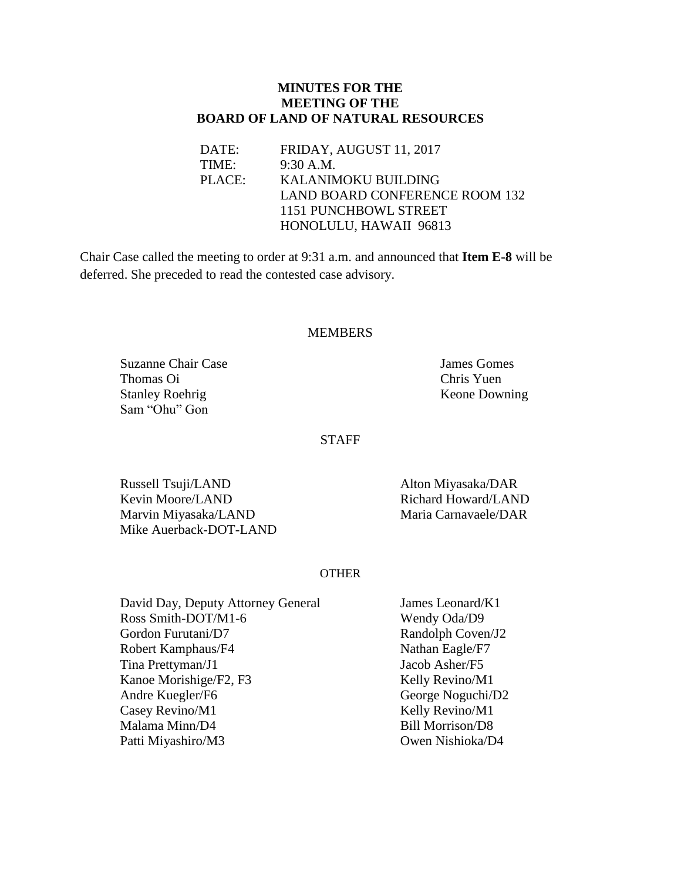## **MINUTES FOR THE MEETING OF THE BOARD OF LAND OF NATURAL RESOURCES**

DATE: FRIDAY, AUGUST 11, 2017 TIME: 9:30 A.M. PLACE: KALANIMOKU BUILDING LAND BOARD CONFERENCE ROOM 132 1151 PUNCHBOWL STREET HONOLULU, HAWAII 96813

Chair Case called the meeting to order at 9:31 a.m. and announced that **Item E-8** will be deferred. She preceded to read the contested case advisory.

### MEMBERS

Suzanne Chair Case **James Gomes** James Gomes Thomas Oi Chris Yuen Stanley Roehrig Keone Downing Sam "Ohu" Gon

**STAFF** 

Russell Tsuji/LAND<br>
Kevin Moore/LAND<br>
Richard Howard/LAND<br>
Richard Howard/LAND Kevin Moore/LAND Marvin Miyasaka/LAND Maria Carnavaele/DAR Mike Auerback-DOT-LAND

#### OTHER

| David Day, Deputy Attorney General |
|------------------------------------|
| Ross Smith-DOT/M1-6                |
| Gordon Furutani/D7                 |
| Robert Kamphaus/F4                 |
| Tina Prettyman/J1                  |
| Kanoe Morishige/F2, F3             |
| Andre Kuegler/F6                   |
| Casey Revino/M1                    |
| Malama Minn/D4                     |
| Patti Miyashiro/M3                 |

James Leonard/K1 Wendy Oda/D9 Randolph Coven/J2 Nathan Eagle/F7 Jacob Asher/F5 Kelly Revino/M1 George Noguchi/D2 Kelly Revino/M1 Bill Morrison/D8 Owen Nishioka/D4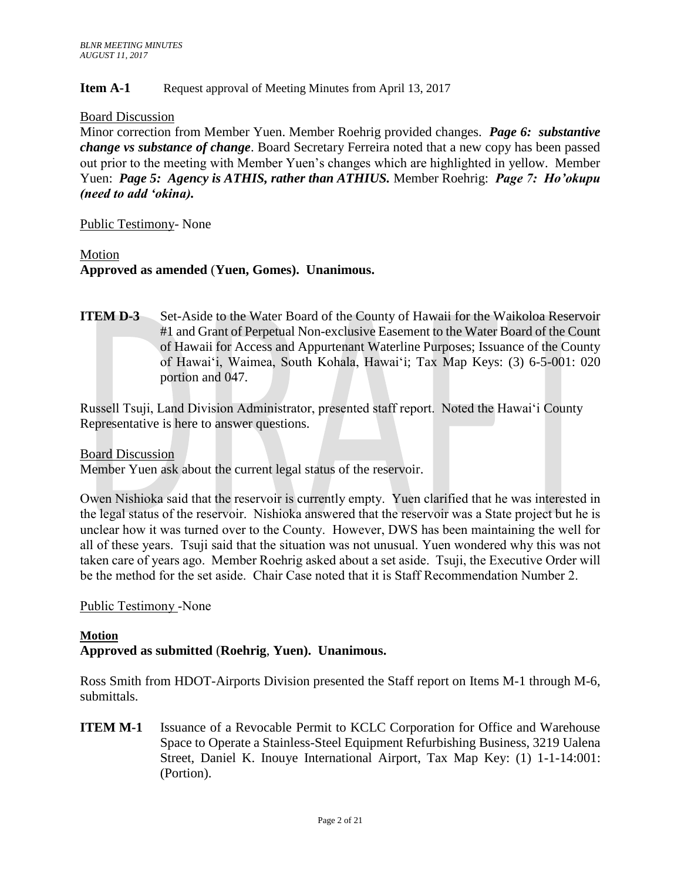## **Item A-1** Request approval of Meeting Minutes from April 13, 2017

### Board Discussion

Minor correction from Member Yuen. Member Roehrig provided changes. *Page 6: substantive change vs substance of change*. Board Secretary Ferreira noted that a new copy has been passed out prior to the meeting with Member Yuen's changes which are highlighted in yellow. Member Yuen: *Page 5: Agency is ATHIS, rather than ATHIUS.* Member Roehrig: *Page 7: Ho'okupu (need to add 'okina).*

### Public Testimony- None

### Motion

## **Approved as amended** (**Yuen, Gomes). Unanimous.**

**ITEM D-3** Set-Aside to the Water Board of the County of Hawaii for the Waikoloa Reservoir #1 and Grant of Perpetual Non-exclusive Easement to the Water Board of the Count of Hawaii for Access and Appurtenant Waterline Purposes; Issuance of the County of Hawai'i, Waimea, South Kohala, Hawai'i; Tax Map Keys: (3) 6-5-001: 020 portion and 047.

Russell Tsuji, Land Division Administrator, presented staff report. Noted the Hawai'i County Representative is here to answer questions.

Board Discussion

Member Yuen ask about the current legal status of the reservoir.

Owen Nishioka said that the reservoir is currently empty. Yuen clarified that he was interested in the legal status of the reservoir. Nishioka answered that the reservoir was a State project but he is unclear how it was turned over to the County. However, DWS has been maintaining the well for all of these years. Tsuji said that the situation was not unusual. Yuen wondered why this was not taken care of years ago. Member Roehrig asked about a set aside. Tsuji, the Executive Order will be the method for the set aside. Chair Case noted that it is Staff Recommendation Number 2.

## Public Testimony -None

## **Motion Approved as submitted** (**Roehrig**, **Yuen). Unanimous.**

Ross Smith from HDOT-Airports Division presented the Staff report on Items M-1 through M-6, submittals.

**ITEM M-1** Issuance of a Revocable Permit to KCLC Corporation for Office and Warehouse Space to Operate a Stainless-Steel Equipment Refurbishing Business, 3219 Ualena Street, Daniel K. Inouye International Airport, Tax Map Key: (1) 1-1-14:001: (Portion).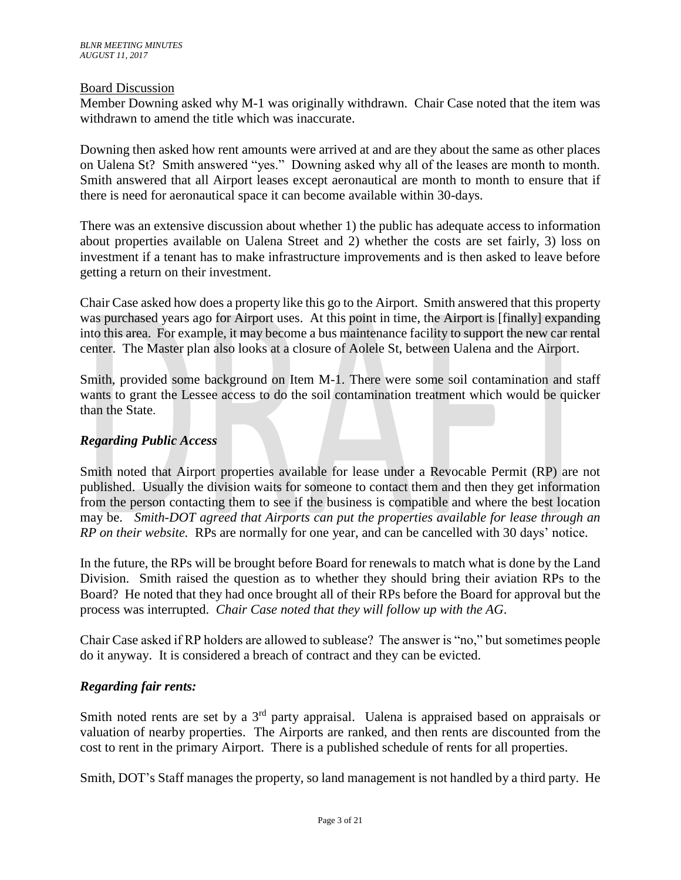## Board Discussion

Member Downing asked why M-1 was originally withdrawn. Chair Case noted that the item was withdrawn to amend the title which was inaccurate.

Downing then asked how rent amounts were arrived at and are they about the same as other places on Ualena St? Smith answered "yes." Downing asked why all of the leases are month to month. Smith answered that all Airport leases except aeronautical are month to month to ensure that if there is need for aeronautical space it can become available within 30-days.

There was an extensive discussion about whether 1) the public has adequate access to information about properties available on Ualena Street and 2) whether the costs are set fairly, 3) loss on investment if a tenant has to make infrastructure improvements and is then asked to leave before getting a return on their investment.

Chair Case asked how does a property like this go to the Airport. Smith answered that this property was purchased years ago for Airport uses. At this point in time, the Airport is [finally] expanding into this area. For example, it may become a bus maintenance facility to support the new car rental center. The Master plan also looks at a closure of Aolele St, between Ualena and the Airport.

Smith, provided some background on Item M-1. There were some soil contamination and staff wants to grant the Lessee access to do the soil contamination treatment which would be quicker than the State.

## *Regarding Public Access*

Smith noted that Airport properties available for lease under a Revocable Permit (RP) are not published. Usually the division waits for someone to contact them and then they get information from the person contacting them to see if the business is compatible and where the best location may be. *Smith-DOT agreed that Airports can put the properties available for lease through an RP on their website.* RPs are normally for one year, and can be cancelled with 30 days' notice.

In the future, the RPs will be brought before Board for renewals to match what is done by the Land Division. Smith raised the question as to whether they should bring their aviation RPs to the Board? He noted that they had once brought all of their RPs before the Board for approval but the process was interrupted. *Chair Case noted that they will follow up with the AG*.

Chair Case asked if RP holders are allowed to sublease? The answer is "no," but sometimes people do it anyway. It is considered a breach of contract and they can be evicted.

## *Regarding fair rents:*

Smith noted rents are set by a  $3<sup>rd</sup>$  party appraisal. Ualena is appraised based on appraisals or valuation of nearby properties. The Airports are ranked, and then rents are discounted from the cost to rent in the primary Airport. There is a published schedule of rents for all properties.

Smith, DOT's Staff manages the property, so land management is not handled by a third party. He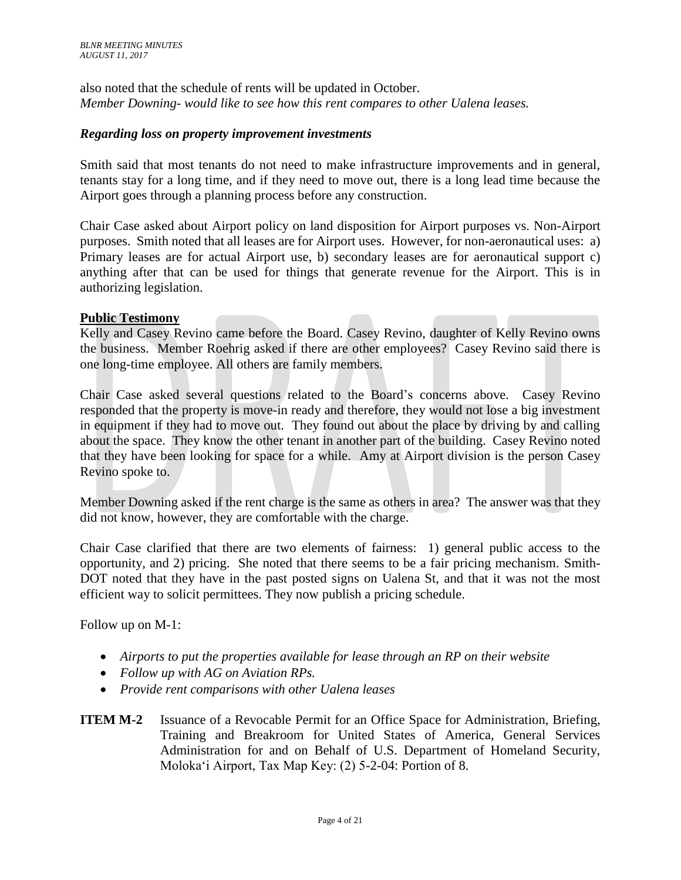also noted that the schedule of rents will be updated in October. *Member Downing- would like to see how this rent compares to other Ualena leases.* 

## *Regarding loss on property improvement investments*

Smith said that most tenants do not need to make infrastructure improvements and in general, tenants stay for a long time, and if they need to move out, there is a long lead time because the Airport goes through a planning process before any construction.

Chair Case asked about Airport policy on land disposition for Airport purposes vs. Non-Airport purposes. Smith noted that all leases are for Airport uses. However, for non-aeronautical uses: a) Primary leases are for actual Airport use, b) secondary leases are for aeronautical support c) anything after that can be used for things that generate revenue for the Airport. This is in authorizing legislation.

### **Public Testimony**

Kelly and Casey Revino came before the Board. Casey Revino, daughter of Kelly Revino owns the business. Member Roehrig asked if there are other employees? Casey Revino said there is one long-time employee. All others are family members.

Chair Case asked several questions related to the Board's concerns above. Casey Revino responded that the property is move-in ready and therefore, they would not lose a big investment in equipment if they had to move out. They found out about the place by driving by and calling about the space. They know the other tenant in another part of the building. Casey Revino noted that they have been looking for space for a while. Amy at Airport division is the person Casey Revino spoke to.

Member Downing asked if the rent charge is the same as others in area? The answer was that they did not know, however, they are comfortable with the charge.

Chair Case clarified that there are two elements of fairness: 1) general public access to the opportunity, and 2) pricing. She noted that there seems to be a fair pricing mechanism. Smith-DOT noted that they have in the past posted signs on Ualena St, and that it was not the most efficient way to solicit permittees. They now publish a pricing schedule.

Follow up on M-1:

- *Airports to put the properties available for lease through an RP on their website*
- *Follow up with AG on Aviation RPs.*
- *Provide rent comparisons with other Ualena leases*
- **ITEM M-2** Issuance of a Revocable Permit for an Office Space for Administration, Briefing, Training and Breakroom for United States of America, General Services Administration for and on Behalf of U.S. Department of Homeland Security, Molokaʻi Airport, Tax Map Key: (2) 5-2-04: Portion of 8.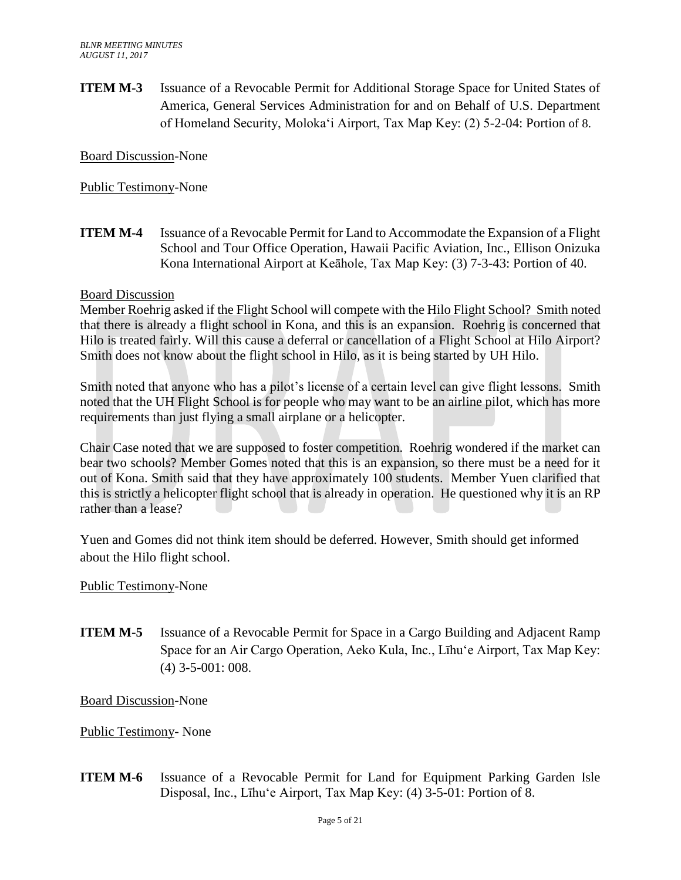**ITEM M-3** Issuance of a Revocable Permit for Additional Storage Space for United States of America, General Services Administration for and on Behalf of U.S. Department of Homeland Security, Molokaʻi Airport, Tax Map Key: (2) 5-2-04: Portion of 8.

Board Discussion-None

Public Testimony-None

**ITEM M-4** Issuance of a Revocable Permit for Land to Accommodate the Expansion of a Flight School and Tour Office Operation, Hawaii Pacific Aviation, Inc., Ellison Onizuka Kona International Airport at Keāhole, Tax Map Key: (3) 7-3-43: Portion of 40.

### Board Discussion

Member Roehrig asked if the Flight School will compete with the Hilo Flight School? Smith noted that there is already a flight school in Kona, and this is an expansion. Roehrig is concerned that Hilo is treated fairly. Will this cause a deferral or cancellation of a Flight School at Hilo Airport? Smith does not know about the flight school in Hilo, as it is being started by UH Hilo.

Smith noted that anyone who has a pilot's license of a certain level can give flight lessons. Smith noted that the UH Flight School is for people who may want to be an airline pilot, which has more requirements than just flying a small airplane or a helicopter.

Chair Case noted that we are supposed to foster competition. Roehrig wondered if the market can bear two schools? Member Gomes noted that this is an expansion, so there must be a need for it out of Kona. Smith said that they have approximately 100 students. Member Yuen clarified that this is strictly a helicopter flight school that is already in operation. He questioned why it is an RP rather than a lease?

Yuen and Gomes did not think item should be deferred. However, Smith should get informed about the Hilo flight school.

## Public Testimony-None

**ITEM M-5** Issuance of a Revocable Permit for Space in a Cargo Building and Adjacent Ramp Space for an Air Cargo Operation, Aeko Kula, Inc., Līhuʻe Airport, Tax Map Key: (4) 3-5-001: 008.

Board Discussion-None

Public Testimony- None

**ITEM M-6** Issuance of a Revocable Permit for Land for Equipment Parking Garden Isle Disposal, Inc., Līhuʻe Airport, Tax Map Key: (4) 3-5-01: Portion of 8.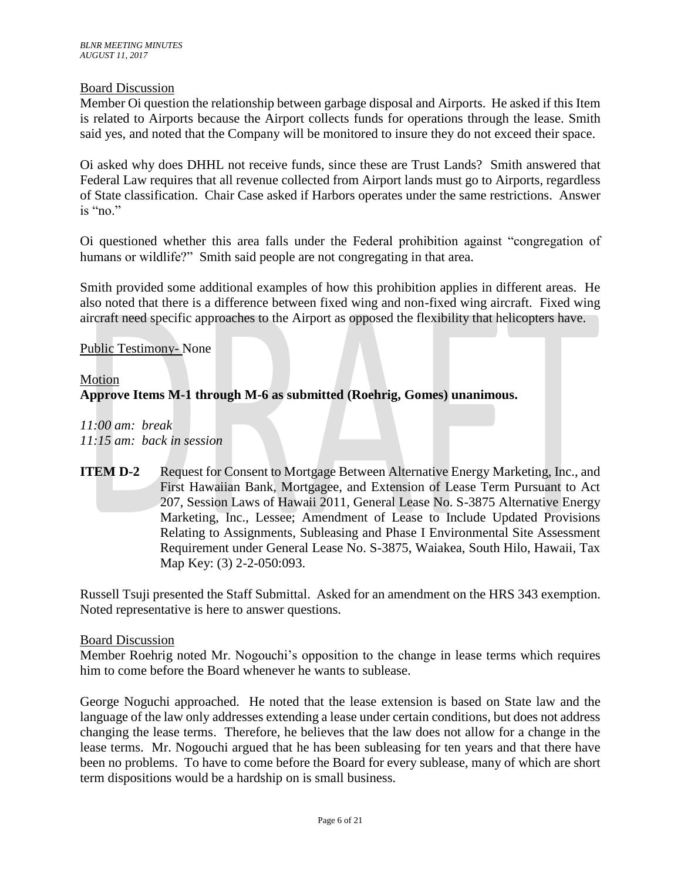## Board Discussion

Member Oi question the relationship between garbage disposal and Airports. He asked if this Item is related to Airports because the Airport collects funds for operations through the lease. Smith said yes, and noted that the Company will be monitored to insure they do not exceed their space.

Oi asked why does DHHL not receive funds, since these are Trust Lands? Smith answered that Federal Law requires that all revenue collected from Airport lands must go to Airports, regardless of State classification. Chair Case asked if Harbors operates under the same restrictions. Answer is "no."

Oi questioned whether this area falls under the Federal prohibition against "congregation of humans or wildlife?" Smith said people are not congregating in that area.

Smith provided some additional examples of how this prohibition applies in different areas. He also noted that there is a difference between fixed wing and non-fixed wing aircraft. Fixed wing aircraft need specific approaches to the Airport as opposed the flexibility that helicopters have.

## Public Testimony- None

# Motion **Approve Items M-1 through M-6 as submitted (Roehrig, Gomes) unanimous.**

*11:00 am: break 11:15 am: back in session*

**ITEM D-2** Request for Consent to Mortgage Between Alternative Energy Marketing, Inc., and First Hawaiian Bank, Mortgagee, and Extension of Lease Term Pursuant to Act 207, Session Laws of Hawaii 2011, General Lease No. S-3875 Alternative Energy Marketing, Inc., Lessee; Amendment of Lease to Include Updated Provisions Relating to Assignments, Subleasing and Phase I Environmental Site Assessment Requirement under General Lease No. S-3875, Waiakea, South Hilo, Hawaii, Tax Map Key: (3) 2-2-050:093.

Russell Tsuji presented the Staff Submittal. Asked for an amendment on the HRS 343 exemption. Noted representative is here to answer questions.

## Board Discussion

Member Roehrig noted Mr. Nogouchi's opposition to the change in lease terms which requires him to come before the Board whenever he wants to sublease.

George Noguchi approached. He noted that the lease extension is based on State law and the language of the law only addresses extending a lease under certain conditions, but does not address changing the lease terms. Therefore, he believes that the law does not allow for a change in the lease terms. Mr. Nogouchi argued that he has been subleasing for ten years and that there have been no problems. To have to come before the Board for every sublease, many of which are short term dispositions would be a hardship on is small business.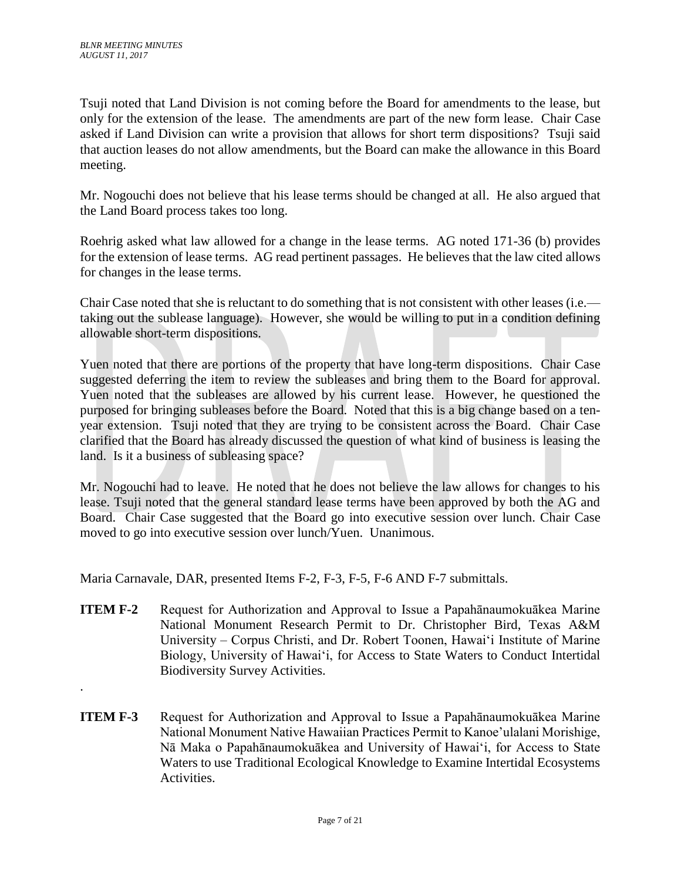.

Tsuji noted that Land Division is not coming before the Board for amendments to the lease, but only for the extension of the lease. The amendments are part of the new form lease. Chair Case asked if Land Division can write a provision that allows for short term dispositions? Tsuji said that auction leases do not allow amendments, but the Board can make the allowance in this Board meeting.

Mr. Nogouchi does not believe that his lease terms should be changed at all. He also argued that the Land Board process takes too long.

Roehrig asked what law allowed for a change in the lease terms. AG noted 171-36 (b) provides for the extension of lease terms. AG read pertinent passages. He believes that the law cited allows for changes in the lease terms.

Chair Case noted that she is reluctant to do something that is not consistent with other leases (i.e. taking out the sublease language). However, she would be willing to put in a condition defining allowable short-term dispositions.

Yuen noted that there are portions of the property that have long-term dispositions. Chair Case suggested deferring the item to review the subleases and bring them to the Board for approval. Yuen noted that the subleases are allowed by his current lease. However, he questioned the purposed for bringing subleases before the Board. Noted that this is a big change based on a tenyear extension. Tsuji noted that they are trying to be consistent across the Board. Chair Case clarified that the Board has already discussed the question of what kind of business is leasing the land. Is it a business of subleasing space?

Mr. Nogouchi had to leave. He noted that he does not believe the law allows for changes to his lease. Tsuji noted that the general standard lease terms have been approved by both the AG and Board. Chair Case suggested that the Board go into executive session over lunch. Chair Case moved to go into executive session over lunch/Yuen. Unanimous.

Maria Carnavale, DAR, presented Items F-2, F-3, F-5, F-6 AND F-7 submittals.

- **ITEM F-2** Request for Authorization and Approval to Issue a Papahānaumokuākea Marine National Monument Research Permit to Dr. Christopher Bird, Texas A&M University – Corpus Christi, and Dr. Robert Toonen, Hawaiʻi Institute of Marine Biology, University of Hawaiʻi, for Access to State Waters to Conduct Intertidal Biodiversity Survey Activities.
- **ITEM F-3** Request for Authorization and Approval to Issue a Papahānaumokuākea Marine National Monument Native Hawaiian Practices Permit to Kanoe'ulalani Morishige, Nā Maka o Papahānaumokuākea and University of Hawaiʻi, for Access to State Waters to use Traditional Ecological Knowledge to Examine Intertidal Ecosystems Activities.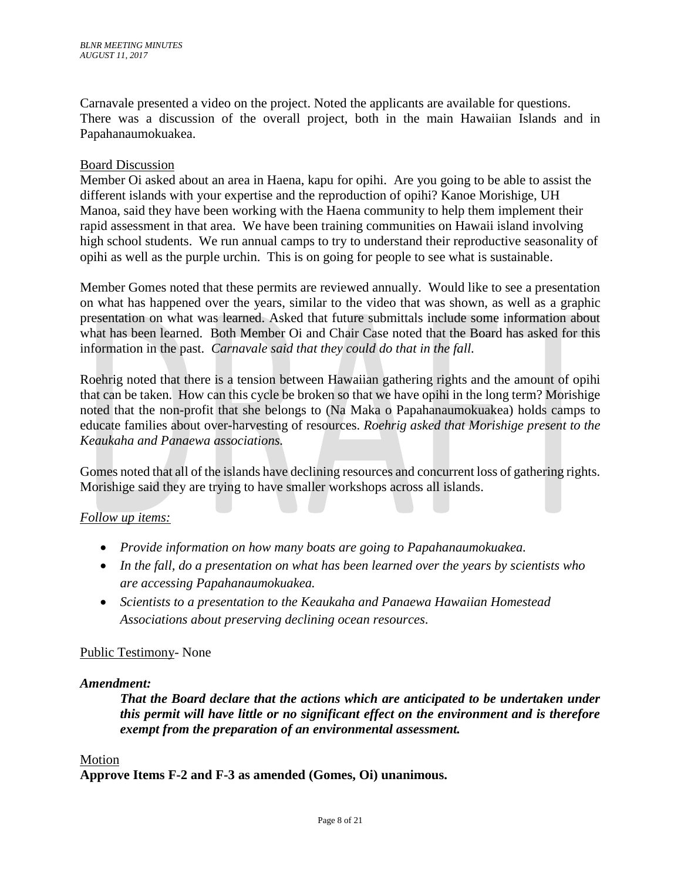Carnavale presented a video on the project. Noted the applicants are available for questions. There was a discussion of the overall project, both in the main Hawaiian Islands and in Papahanaumokuakea.

## Board Discussion

Member Oi asked about an area in Haena, kapu for opihi. Are you going to be able to assist the different islands with your expertise and the reproduction of opihi? Kanoe Morishige, UH Manoa, said they have been working with the Haena community to help them implement their rapid assessment in that area. We have been training communities on Hawaii island involving high school students. We run annual camps to try to understand their reproductive seasonality of opihi as well as the purple urchin. This is on going for people to see what is sustainable.

Member Gomes noted that these permits are reviewed annually. Would like to see a presentation on what has happened over the years, similar to the video that was shown, as well as a graphic presentation on what was learned. Asked that future submittals include some information about what has been learned. Both Member Oi and Chair Case noted that the Board has asked for this information in the past. *Carnavale said that they could do that in the fall.* 

Roehrig noted that there is a tension between Hawaiian gathering rights and the amount of opihi that can be taken. How can this cycle be broken so that we have opihi in the long term? Morishige noted that the non-profit that she belongs to (Na Maka o Papahanaumokuakea) holds camps to educate families about over-harvesting of resources. *Roehrig asked that Morishige present to the Keaukaha and Panaewa associations.*

Gomes noted that all of the islands have declining resources and concurrent loss of gathering rights. Morishige said they are trying to have smaller workshops across all islands.

## *Follow up items:*

- *Provide information on how many boats are going to Papahanaumokuakea.*
- *In the fall, do a presentation on what has been learned over the years by scientists who are accessing Papahanaumokuakea.*
- *Scientists to a presentation to the Keaukaha and Panaewa Hawaiian Homestead Associations about preserving declining ocean resources*.

## Public Testimony- None

## *Amendment:*

*That the Board declare that the actions which are anticipated to be undertaken under this permit will have little or no significant effect on the environment and is therefore exempt from the preparation of an environmental assessment.*

#### Motion

**Approve Items F-2 and F-3 as amended (Gomes, Oi) unanimous.**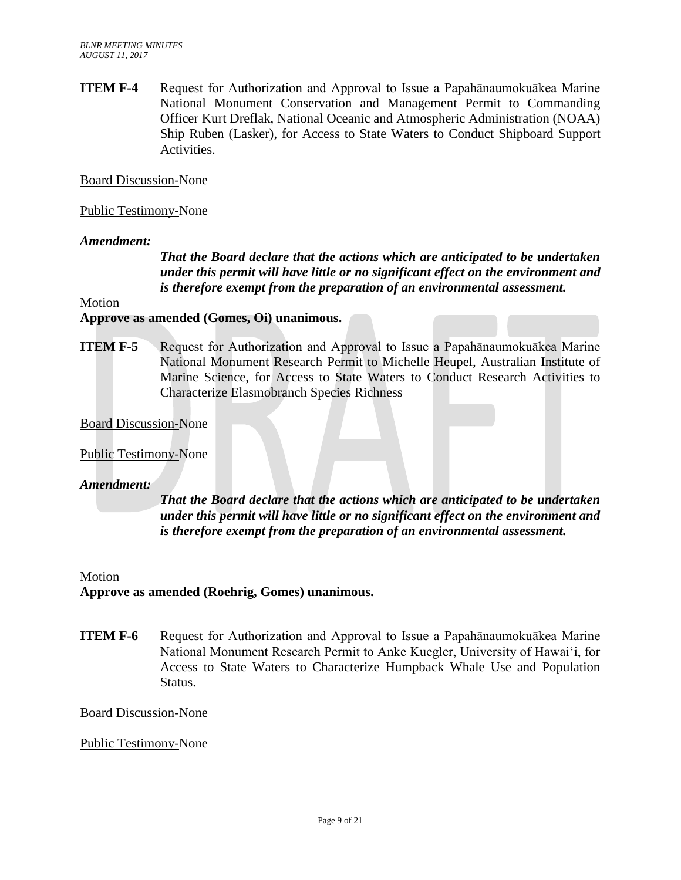**ITEM F-4** Request for Authorization and Approval to Issue a Papahānaumokuākea Marine National Monument Conservation and Management Permit to Commanding Officer Kurt Dreflak, National Oceanic and Atmospheric Administration (NOAA) Ship Ruben (Lasker), for Access to State Waters to Conduct Shipboard Support Activities.

Board Discussion-None

## Public Testimony-None

### *Amendment:*

*That the Board declare that the actions which are anticipated to be undertaken under this permit will have little or no significant effect on the environment and is therefore exempt from the preparation of an environmental assessment.*

### Motion

### **Approve as amended (Gomes, Oi) unanimous.**

**ITEM F-5** Request for Authorization and Approval to Issue a Papahānaumokuākea Marine National Monument Research Permit to Michelle Heupel, Australian Institute of Marine Science, for Access to State Waters to Conduct Research Activities to Characterize Elasmobranch Species Richness

Board Discussion-None

#### Public Testimony-None

### *Amendment:*

*That the Board declare that the actions which are anticipated to be undertaken under this permit will have little or no significant effect on the environment and is therefore exempt from the preparation of an environmental assessment.*

#### Motion

## **Approve as amended (Roehrig, Gomes) unanimous.**

**ITEM F-6** Request for Authorization and Approval to Issue a Papahānaumokuākea Marine National Monument Research Permit to Anke Kuegler, University of Hawai'i, for Access to State Waters to Characterize Humpback Whale Use and Population Status.

#### Board Discussion-None

## Public Testimony-None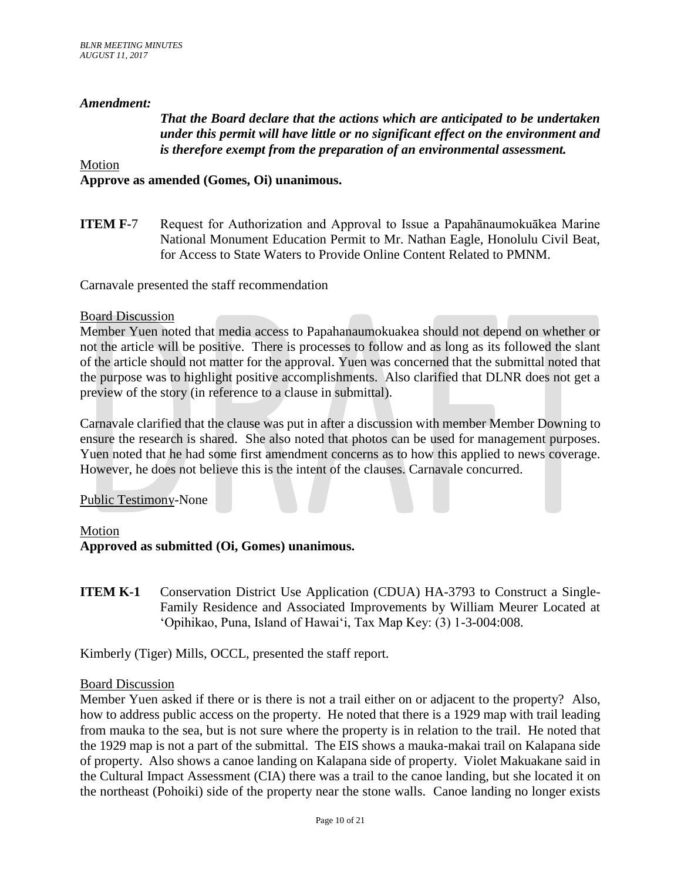## *Amendment:*

## *That the Board declare that the actions which are anticipated to be undertaken under this permit will have little or no significant effect on the environment and is therefore exempt from the preparation of an environmental assessment.*

## Motion **Approve as amended (Gomes, Oi) unanimous.**

**ITEM F-7** Request for Authorization and Approval to Issue a Papahānaumokuākea Marine National Monument Education Permit to Mr. Nathan Eagle, Honolulu Civil Beat, for Access to State Waters to Provide Online Content Related to PMNM.

Carnavale presented the staff recommendation

#### Board Discussion

Member Yuen noted that media access to Papahanaumokuakea should not depend on whether or not the article will be positive. There is processes to follow and as long as its followed the slant of the article should not matter for the approval. Yuen was concerned that the submittal noted that the purpose was to highlight positive accomplishments. Also clarified that DLNR does not get a preview of the story (in reference to a clause in submittal).

Carnavale clarified that the clause was put in after a discussion with member Member Downing to ensure the research is shared. She also noted that photos can be used for management purposes. Yuen noted that he had some first amendment concerns as to how this applied to news coverage. However, he does not believe this is the intent of the clauses. Carnavale concurred.

#### Public Testimony-None

#### Motion

## **Approved as submitted (Oi, Gomes) unanimous.**

**ITEM K-1** Conservation District Use Application (CDUA) HA-3793 to Construct a Single-Family Residence and Associated Improvements by William Meurer Located at 'Opihikao, Puna, Island of Hawai'i, Tax Map Key: (3) 1-3-004:008.

Kimberly (Tiger) Mills, OCCL, presented the staff report.

## Board Discussion

Member Yuen asked if there or is there is not a trail either on or adjacent to the property? Also, how to address public access on the property. He noted that there is a 1929 map with trail leading from mauka to the sea, but is not sure where the property is in relation to the trail. He noted that the 1929 map is not a part of the submittal. The EIS shows a mauka-makai trail on Kalapana side of property. Also shows a canoe landing on Kalapana side of property. Violet Makuakane said in the Cultural Impact Assessment (CIA) there was a trail to the canoe landing, but she located it on the northeast (Pohoiki) side of the property near the stone walls. Canoe landing no longer exists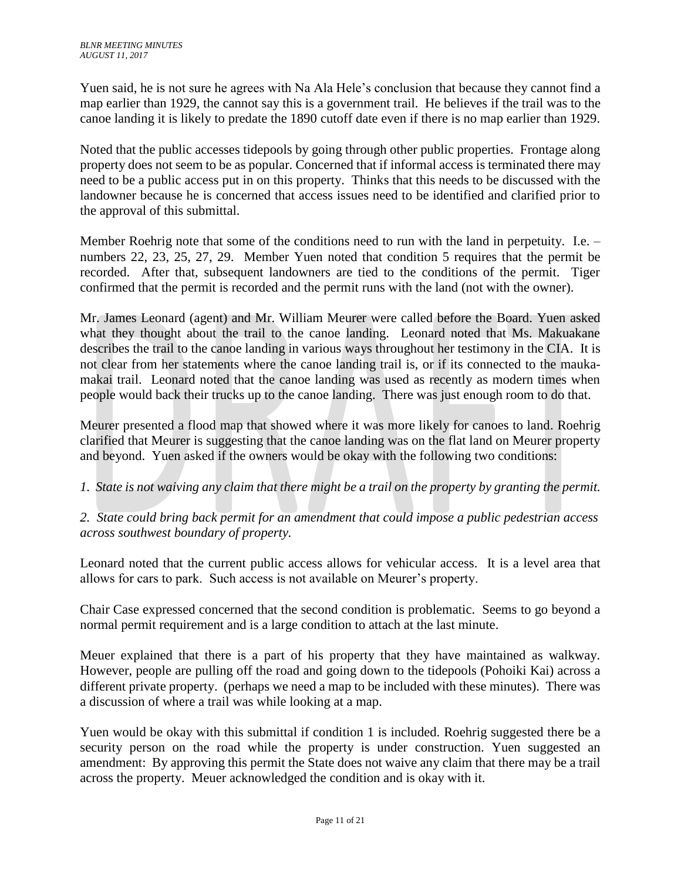Yuen said, he is not sure he agrees with Na Ala Hele's conclusion that because they cannot find a map earlier than 1929, the cannot say this is a government trail. He believes if the trail was to the canoe landing it is likely to predate the 1890 cutoff date even if there is no map earlier than 1929.

Noted that the public accesses tidepools by going through other public properties. Frontage along property does not seem to be as popular. Concerned that if informal access is terminated there may need to be a public access put in on this property. Thinks that this needs to be discussed with the landowner because he is concerned that access issues need to be identified and clarified prior to the approval of this submittal.

Member Roehrig note that some of the conditions need to run with the land in perpetuity. I.e. – numbers 22, 23, 25, 27, 29. Member Yuen noted that condition 5 requires that the permit be recorded. After that, subsequent landowners are tied to the conditions of the permit. Tiger confirmed that the permit is recorded and the permit runs with the land (not with the owner).

Mr. James Leonard (agent) and Mr. William Meurer were called before the Board. Yuen asked what they thought about the trail to the canoe landing. Leonard noted that Ms. Makuakane describes the trail to the canoe landing in various ways throughout her testimony in the CIA. It is not clear from her statements where the canoe landing trail is, or if its connected to the maukamakai trail. Leonard noted that the canoe landing was used as recently as modern times when people would back their trucks up to the canoe landing. There was just enough room to do that.

Meurer presented a flood map that showed where it was more likely for canoes to land. Roehrig clarified that Meurer is suggesting that the canoe landing was on the flat land on Meurer property and beyond. Yuen asked if the owners would be okay with the following two conditions:

*1. State is not waiving any claim that there might be a trail on the property by granting the permit.*

*2. State could bring back permit for an amendment that could impose a public pedestrian access across southwest boundary of property.* 

Leonard noted that the current public access allows for vehicular access. It is a level area that allows for cars to park. Such access is not available on Meurer's property.

Chair Case expressed concerned that the second condition is problematic. Seems to go beyond a normal permit requirement and is a large condition to attach at the last minute.

Meuer explained that there is a part of his property that they have maintained as walkway. However, people are pulling off the road and going down to the tidepools (Pohoiki Kai) across a different private property. (perhaps we need a map to be included with these minutes). There was a discussion of where a trail was while looking at a map.

Yuen would be okay with this submittal if condition 1 is included. Roehrig suggested there be a security person on the road while the property is under construction. Yuen suggested an amendment: By approving this permit the State does not waive any claim that there may be a trail across the property. Meuer acknowledged the condition and is okay with it.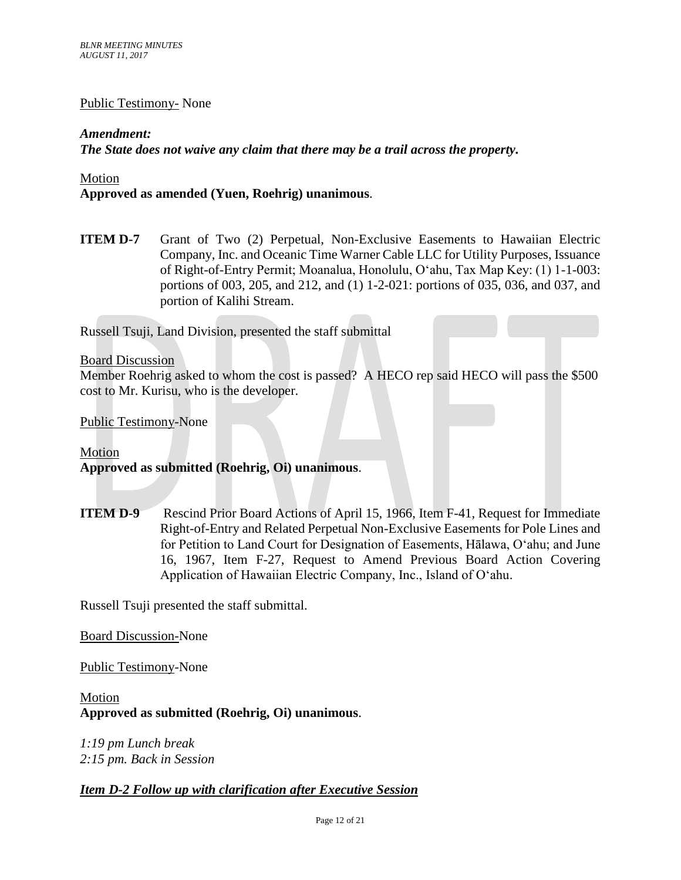## Public Testimony- None

## *Amendment:*

*The State does not waive any claim that there may be a trail across the property.*

Motion

## **Approved as amended (Yuen, Roehrig) unanimous**.

**ITEM D-7** Grant of Two (2) Perpetual, Non-Exclusive Easements to Hawaiian Electric Company, Inc. and Oceanic Time Warner Cable LLC for Utility Purposes, Issuance of Right-of-Entry Permit; Moanalua, Honolulu, Oʻahu, Tax Map Key: (1) 1-1-003: portions of 003, 205, and 212, and (1) 1-2-021: portions of 035, 036, and 037, and portion of Kalihi Stream.

Russell Tsuji, Land Division, presented the staff submittal

### Board Discussion

Member Roehrig asked to whom the cost is passed? A HECO rep said HECO will pass the \$500 cost to Mr. Kurisu, who is the developer.

Public Testimony-None

## Motion **Approved as submitted (Roehrig, Oi) unanimous**.

**ITEM D-9** Rescind Prior Board Actions of April 15, 1966, Item F-41, Request for Immediate Right-of-Entry and Related Perpetual Non-Exclusive Easements for Pole Lines and for Petition to Land Court for Designation of Easements, Hālawa, Oʻahu; and June 16, 1967, Item F-27, Request to Amend Previous Board Action Covering Application of Hawaiian Electric Company, Inc., Island of Oʻahu.

Russell Tsuji presented the staff submittal.

Board Discussion-None

Public Testimony-None

Motion **Approved as submitted (Roehrig, Oi) unanimous**.

*1:19 pm Lunch break 2:15 pm. Back in Session*

*Item D-2 Follow up with clarification after Executive Session*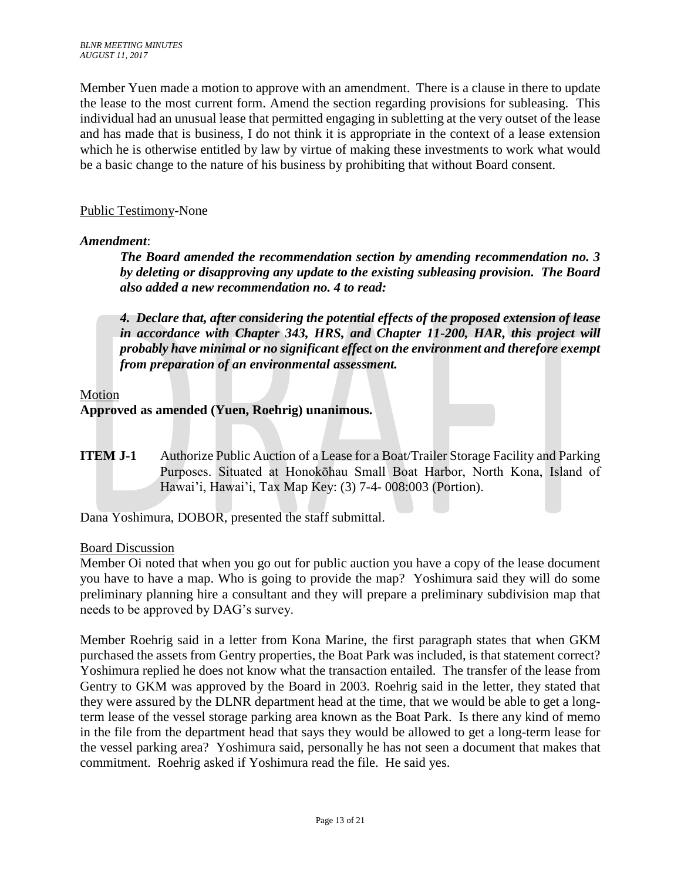Member Yuen made a motion to approve with an amendment. There is a clause in there to update the lease to the most current form. Amend the section regarding provisions for subleasing. This individual had an unusual lease that permitted engaging in subletting at the very outset of the lease and has made that is business, I do not think it is appropriate in the context of a lease extension which he is otherwise entitled by law by virtue of making these investments to work what would be a basic change to the nature of his business by prohibiting that without Board consent.

## Public Testimony-None

## *Amendment*:

*The Board amended the recommendation section by amending recommendation no. 3 by deleting or disapproving any update to the existing subleasing provision. The Board also added a new recommendation no. 4 to read:*

*4. Declare that, after considering the potential effects of the proposed extension of lease*  in accordance with Chapter 343, HRS, and Chapter 11-200, HAR, this project will *probably have minimal or no significant effect on the environment and therefore exempt from preparation of an environmental assessment.*

## Motion

## **Approved as amended (Yuen, Roehrig) unanimous.**

**ITEM J-1** Authorize Public Auction of a Lease for a Boat/Trailer Storage Facility and Parking Purposes. Situated at Honokōhau Small Boat Harbor, North Kona, Island of Hawai'i, Hawai'i, Tax Map Key: (3) 7-4- 008:003 (Portion).

Dana Yoshimura, DOBOR, presented the staff submittal.

## Board Discussion

Member Oi noted that when you go out for public auction you have a copy of the lease document you have to have a map. Who is going to provide the map? Yoshimura said they will do some preliminary planning hire a consultant and they will prepare a preliminary subdivision map that needs to be approved by DAG's survey.

Member Roehrig said in a letter from Kona Marine, the first paragraph states that when GKM purchased the assets from Gentry properties, the Boat Park was included, is that statement correct? Yoshimura replied he does not know what the transaction entailed. The transfer of the lease from Gentry to GKM was approved by the Board in 2003. Roehrig said in the letter, they stated that they were assured by the DLNR department head at the time, that we would be able to get a longterm lease of the vessel storage parking area known as the Boat Park. Is there any kind of memo in the file from the department head that says they would be allowed to get a long-term lease for the vessel parking area? Yoshimura said, personally he has not seen a document that makes that commitment. Roehrig asked if Yoshimura read the file. He said yes.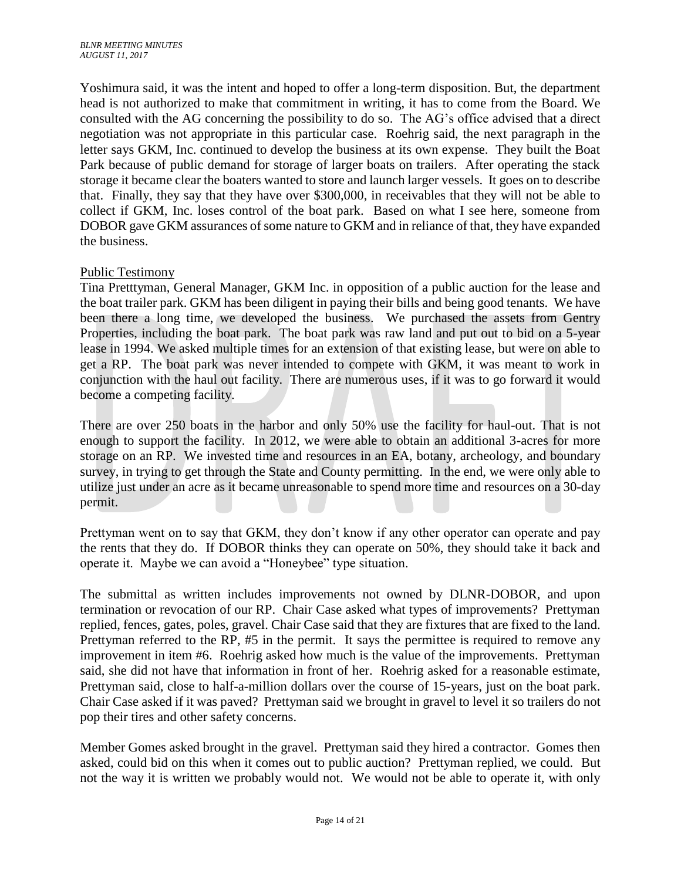Yoshimura said, it was the intent and hoped to offer a long-term disposition. But, the department head is not authorized to make that commitment in writing, it has to come from the Board. We consulted with the AG concerning the possibility to do so. The AG's office advised that a direct negotiation was not appropriate in this particular case. Roehrig said, the next paragraph in the letter says GKM, Inc. continued to develop the business at its own expense. They built the Boat Park because of public demand for storage of larger boats on trailers. After operating the stack storage it became clear the boaters wanted to store and launch larger vessels. It goes on to describe that. Finally, they say that they have over \$300,000, in receivables that they will not be able to collect if GKM, Inc. loses control of the boat park. Based on what I see here, someone from DOBOR gave GKM assurances of some nature to GKM and in reliance of that, they have expanded the business.

## Public Testimony

Tina Pretttyman, General Manager, GKM Inc. in opposition of a public auction for the lease and the boat trailer park. GKM has been diligent in paying their bills and being good tenants. We have been there a long time, we developed the business. We purchased the assets from Gentry Properties, including the boat park. The boat park was raw land and put out to bid on a 5-year lease in 1994. We asked multiple times for an extension of that existing lease, but were on able to get a RP. The boat park was never intended to compete with GKM, it was meant to work in conjunction with the haul out facility. There are numerous uses, if it was to go forward it would become a competing facility.

There are over 250 boats in the harbor and only 50% use the facility for haul-out. That is not enough to support the facility. In 2012, we were able to obtain an additional 3-acres for more storage on an RP. We invested time and resources in an EA, botany, archeology, and boundary survey, in trying to get through the State and County permitting. In the end, we were only able to utilize just under an acre as it became unreasonable to spend more time and resources on a 30-day permit.

Prettyman went on to say that GKM, they don't know if any other operator can operate and pay the rents that they do. If DOBOR thinks they can operate on 50%, they should take it back and operate it. Maybe we can avoid a "Honeybee" type situation.

The submittal as written includes improvements not owned by DLNR-DOBOR, and upon termination or revocation of our RP. Chair Case asked what types of improvements? Prettyman replied, fences, gates, poles, gravel. Chair Case said that they are fixtures that are fixed to the land. Prettyman referred to the RP, #5 in the permit. It says the permittee is required to remove any improvement in item #6. Roehrig asked how much is the value of the improvements. Prettyman said, she did not have that information in front of her. Roehrig asked for a reasonable estimate, Prettyman said, close to half-a-million dollars over the course of 15-years, just on the boat park. Chair Case asked if it was paved? Prettyman said we brought in gravel to level it so trailers do not pop their tires and other safety concerns.

Member Gomes asked brought in the gravel. Prettyman said they hired a contractor. Gomes then asked, could bid on this when it comes out to public auction? Prettyman replied, we could. But not the way it is written we probably would not. We would not be able to operate it, with only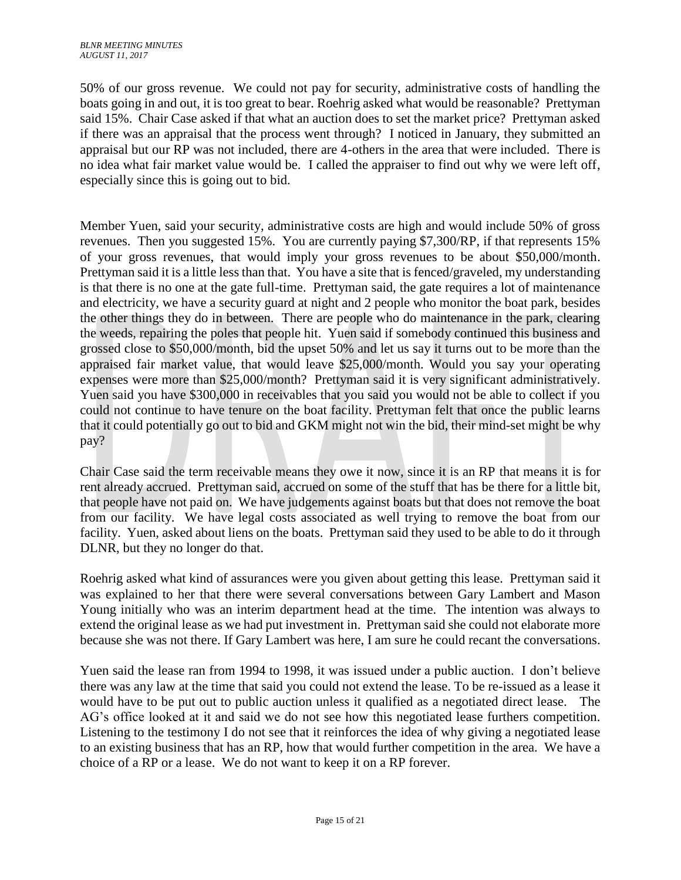50% of our gross revenue. We could not pay for security, administrative costs of handling the boats going in and out, it is too great to bear. Roehrig asked what would be reasonable? Prettyman said 15%. Chair Case asked if that what an auction does to set the market price? Prettyman asked if there was an appraisal that the process went through? I noticed in January, they submitted an appraisal but our RP was not included, there are 4-others in the area that were included. There is no idea what fair market value would be. I called the appraiser to find out why we were left off, especially since this is going out to bid.

Member Yuen, said your security, administrative costs are high and would include 50% of gross revenues. Then you suggested 15%. You are currently paying \$7,300/RP, if that represents 15% of your gross revenues, that would imply your gross revenues to be about \$50,000/month. Prettyman said it is a little less than that. You have a site that is fenced/graveled, my understanding is that there is no one at the gate full-time. Prettyman said, the gate requires a lot of maintenance and electricity, we have a security guard at night and 2 people who monitor the boat park, besides the other things they do in between. There are people who do maintenance in the park, clearing the weeds, repairing the poles that people hit. Yuen said if somebody continued this business and grossed close to \$50,000/month, bid the upset 50% and let us say it turns out to be more than the appraised fair market value, that would leave \$25,000/month. Would you say your operating expenses were more than \$25,000/month? Prettyman said it is very significant administratively. Yuen said you have \$300,000 in receivables that you said you would not be able to collect if you could not continue to have tenure on the boat facility. Prettyman felt that once the public learns that it could potentially go out to bid and GKM might not win the bid, their mind-set might be why pay?

Chair Case said the term receivable means they owe it now, since it is an RP that means it is for rent already accrued. Prettyman said, accrued on some of the stuff that has be there for a little bit, that people have not paid on. We have judgements against boats but that does not remove the boat from our facility. We have legal costs associated as well trying to remove the boat from our facility. Yuen, asked about liens on the boats. Prettyman said they used to be able to do it through DLNR, but they no longer do that.

Roehrig asked what kind of assurances were you given about getting this lease. Prettyman said it was explained to her that there were several conversations between Gary Lambert and Mason Young initially who was an interim department head at the time. The intention was always to extend the original lease as we had put investment in. Prettyman said she could not elaborate more because she was not there. If Gary Lambert was here, I am sure he could recant the conversations.

Yuen said the lease ran from 1994 to 1998, it was issued under a public auction. I don't believe there was any law at the time that said you could not extend the lease. To be re-issued as a lease it would have to be put out to public auction unless it qualified as a negotiated direct lease. The AG's office looked at it and said we do not see how this negotiated lease furthers competition. Listening to the testimony I do not see that it reinforces the idea of why giving a negotiated lease to an existing business that has an RP, how that would further competition in the area. We have a choice of a RP or a lease. We do not want to keep it on a RP forever.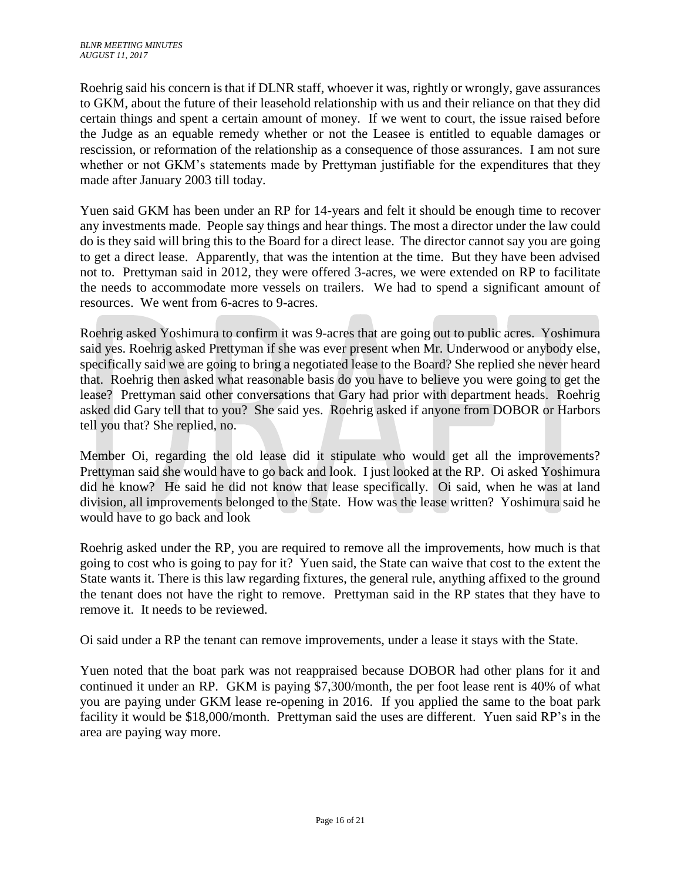Roehrig said his concern is that if DLNR staff, whoever it was, rightly or wrongly, gave assurances to GKM, about the future of their leasehold relationship with us and their reliance on that they did certain things and spent a certain amount of money. If we went to court, the issue raised before the Judge as an equable remedy whether or not the Leasee is entitled to equable damages or rescission, or reformation of the relationship as a consequence of those assurances. I am not sure whether or not GKM's statements made by Prettyman justifiable for the expenditures that they made after January 2003 till today.

Yuen said GKM has been under an RP for 14-years and felt it should be enough time to recover any investments made. People say things and hear things. The most a director under the law could do is they said will bring this to the Board for a direct lease. The director cannot say you are going to get a direct lease. Apparently, that was the intention at the time. But they have been advised not to. Prettyman said in 2012, they were offered 3-acres, we were extended on RP to facilitate the needs to accommodate more vessels on trailers. We had to spend a significant amount of resources. We went from 6-acres to 9-acres.

Roehrig asked Yoshimura to confirm it was 9-acres that are going out to public acres. Yoshimura said yes. Roehrig asked Prettyman if she was ever present when Mr. Underwood or anybody else, specifically said we are going to bring a negotiated lease to the Board? She replied she never heard that. Roehrig then asked what reasonable basis do you have to believe you were going to get the lease? Prettyman said other conversations that Gary had prior with department heads. Roehrig asked did Gary tell that to you? She said yes. Roehrig asked if anyone from DOBOR or Harbors tell you that? She replied, no.

Member Oi, regarding the old lease did it stipulate who would get all the improvements? Prettyman said she would have to go back and look. I just looked at the RP. Oi asked Yoshimura did he know? He said he did not know that lease specifically. Oi said, when he was at land division, all improvements belonged to the State. How was the lease written? Yoshimura said he would have to go back and look

Roehrig asked under the RP, you are required to remove all the improvements, how much is that going to cost who is going to pay for it? Yuen said, the State can waive that cost to the extent the State wants it. There is this law regarding fixtures, the general rule, anything affixed to the ground the tenant does not have the right to remove. Prettyman said in the RP states that they have to remove it. It needs to be reviewed.

Oi said under a RP the tenant can remove improvements, under a lease it stays with the State.

Yuen noted that the boat park was not reappraised because DOBOR had other plans for it and continued it under an RP. GKM is paying \$7,300/month, the per foot lease rent is 40% of what you are paying under GKM lease re-opening in 2016. If you applied the same to the boat park facility it would be \$18,000/month. Prettyman said the uses are different. Yuen said RP's in the area are paying way more.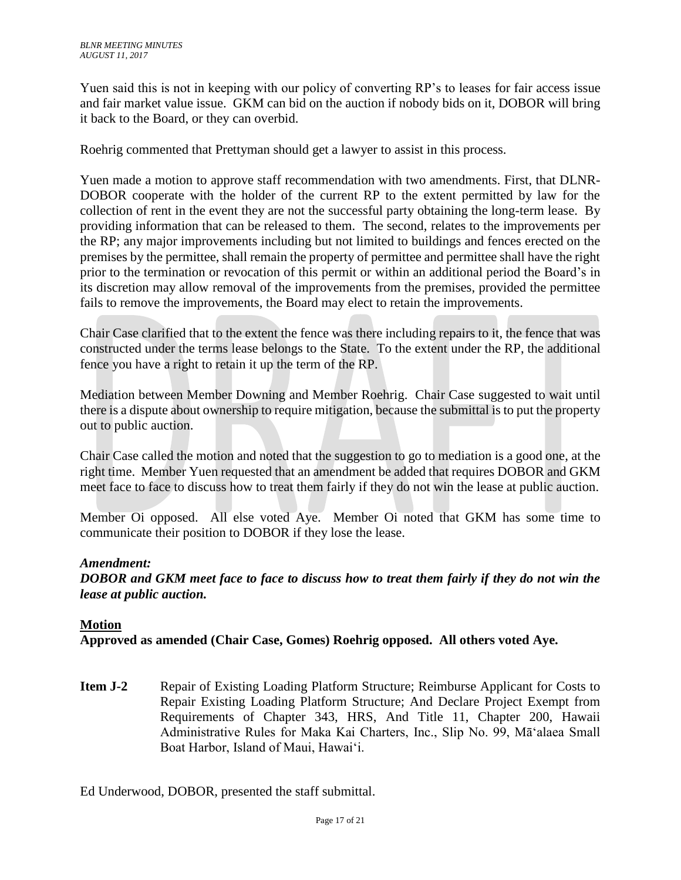Yuen said this is not in keeping with our policy of converting RP's to leases for fair access issue and fair market value issue. GKM can bid on the auction if nobody bids on it, DOBOR will bring it back to the Board, or they can overbid.

Roehrig commented that Prettyman should get a lawyer to assist in this process.

Yuen made a motion to approve staff recommendation with two amendments. First, that DLNR-DOBOR cooperate with the holder of the current RP to the extent permitted by law for the collection of rent in the event they are not the successful party obtaining the long-term lease. By providing information that can be released to them. The second, relates to the improvements per the RP; any major improvements including but not limited to buildings and fences erected on the premises by the permittee, shall remain the property of permittee and permittee shall have the right prior to the termination or revocation of this permit or within an additional period the Board's in its discretion may allow removal of the improvements from the premises, provided the permittee fails to remove the improvements, the Board may elect to retain the improvements.

Chair Case clarified that to the extent the fence was there including repairs to it, the fence that was constructed under the terms lease belongs to the State. To the extent under the RP, the additional fence you have a right to retain it up the term of the RP.

Mediation between Member Downing and Member Roehrig. Chair Case suggested to wait until there is a dispute about ownership to require mitigation, because the submittal is to put the property out to public auction.

Chair Case called the motion and noted that the suggestion to go to mediation is a good one, at the right time. Member Yuen requested that an amendment be added that requires DOBOR and GKM meet face to face to discuss how to treat them fairly if they do not win the lease at public auction.

Member Oi opposed. All else voted Aye. Member Oi noted that GKM has some time to communicate their position to DOBOR if they lose the lease.

## *Amendment:*

*DOBOR and GKM meet face to face to discuss how to treat them fairly if they do not win the lease at public auction.*

## **Motion**

**Approved as amended (Chair Case, Gomes) Roehrig opposed. All others voted Aye.** 

**Item J-2** Repair of Existing Loading Platform Structure; Reimburse Applicant for Costs to Repair Existing Loading Platform Structure; And Declare Project Exempt from Requirements of Chapter 343, HRS, And Title 11, Chapter 200, Hawaii Administrative Rules for Maka Kai Charters, Inc., Slip No. 99, Māʻalaea Small Boat Harbor, Island of Maui, Hawaiʻi.

Ed Underwood, DOBOR, presented the staff submittal.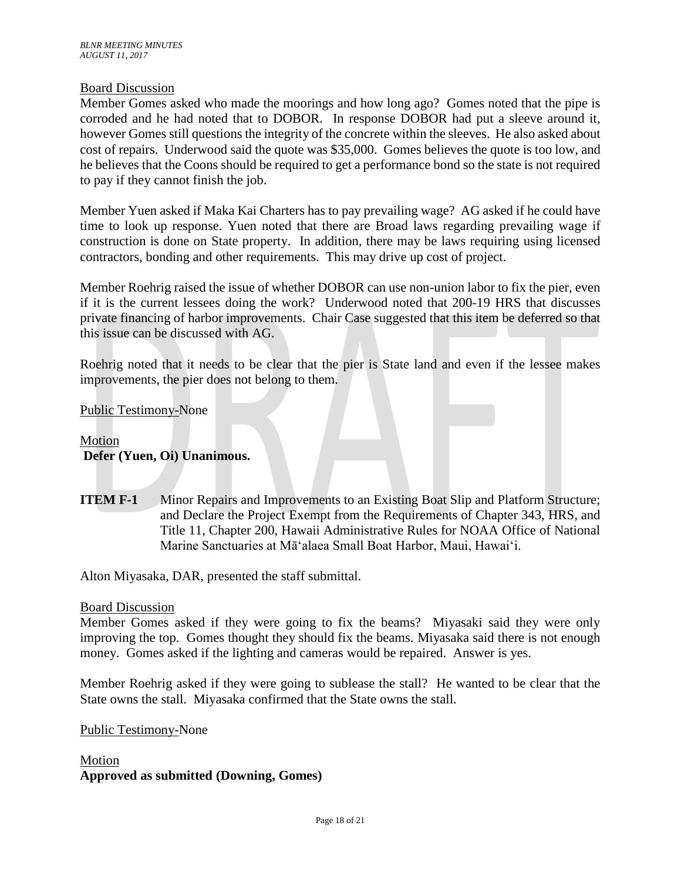## Board Discussion

Member Gomes asked who made the moorings and how long ago? Gomes noted that the pipe is corroded and he had noted that to DOBOR. In response DOBOR had put a sleeve around it, however Gomes still questions the integrity of the concrete within the sleeves. He also asked about cost of repairs. Underwood said the quote was \$35,000. Gomes believes the quote is too low, and he believes that the Coons should be required to get a performance bond so the state is not required to pay if they cannot finish the job.

Member Yuen asked if Maka Kai Charters has to pay prevailing wage? AG asked if he could have time to look up response. Yuen noted that there are Broad laws regarding prevailing wage if construction is done on State property. In addition, there may be laws requiring using licensed contractors, bonding and other requirements. This may drive up cost of project.

Member Roehrig raised the issue of whether DOBOR can use non-union labor to fix the pier, even if it is the current lessees doing the work? Underwood noted that 200-19 HRS that discusses private financing of harbor improvements. Chair Case suggested that this item be deferred so that this issue can be discussed with AG.

Roehrig noted that it needs to be clear that the pier is State land and even if the lessee makes improvements, the pier does not belong to them.

Public Testimony-None

## Motion **Defer (Yuen, Oi) Unanimous.**

**ITEM F-1** Minor Repairs and Improvements to an Existing Boat Slip and Platform Structure; and Declare the Project Exempt from the Requirements of Chapter 343, HRS, and Title 11, Chapter 200, Hawaii Administrative Rules for NOAA Office of National Marine Sanctuaries at Māʻalaea Small Boat Harbor, Maui, Hawaiʻi.

Alton Miyasaka, DAR, presented the staff submittal.

#### Board Discussion

Member Gomes asked if they were going to fix the beams? Miyasaki said they were only improving the top. Gomes thought they should fix the beams. Miyasaka said there is not enough money. Gomes asked if the lighting and cameras would be repaired. Answer is yes.

Member Roehrig asked if they were going to sublease the stall? He wanted to be clear that the State owns the stall. Miyasaka confirmed that the State owns the stall.

Public Testimony-None

Motion **Approved as submitted (Downing, Gomes)**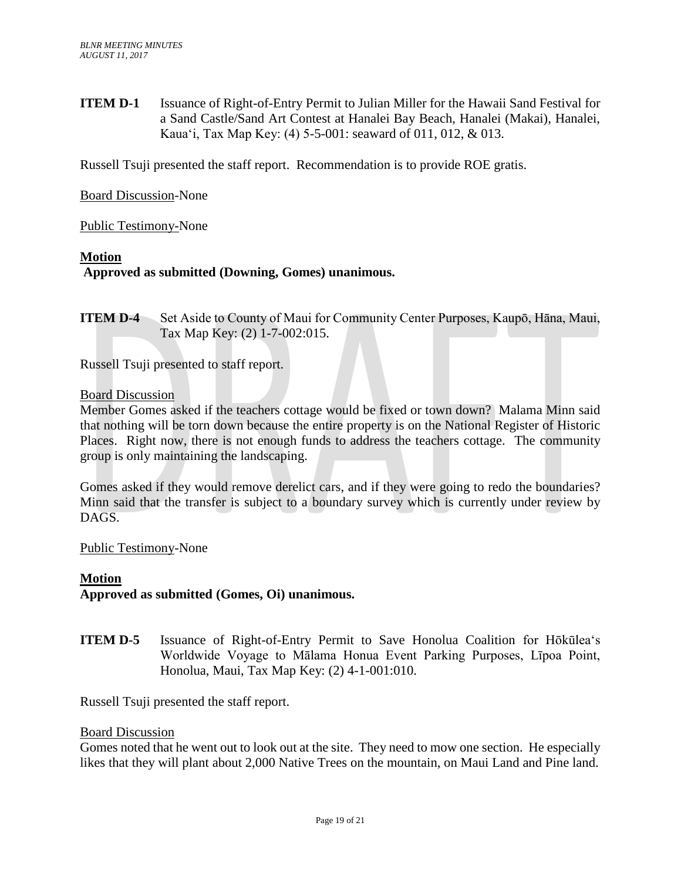**ITEM D-1** Issuance of Right-of-Entry Permit to Julian Miller for the Hawaii Sand Festival for a Sand Castle/Sand Art Contest at Hanalei Bay Beach, Hanalei (Makai), Hanalei, Kaua'i, Tax Map Key: (4) 5-5-001: seaward of 011, 012, & 013.

Russell Tsuji presented the staff report. Recommendation is to provide ROE gratis.

Board Discussion-None

Public Testimony-None

### **Motion**

## **Approved as submitted (Downing, Gomes) unanimous.**

**ITEM D-4** Set Aside to County of Maui for Community Center Purposes, Kaupō, Hāna, Maui, Tax Map Key: (2) 1-7-002:015.

Russell Tsuji presented to staff report.

#### Board Discussion

Member Gomes asked if the teachers cottage would be fixed or town down? Malama Minn said that nothing will be torn down because the entire property is on the National Register of Historic Places. Right now, there is not enough funds to address the teachers cottage. The community group is only maintaining the landscaping.

Gomes asked if they would remove derelict cars, and if they were going to redo the boundaries? Minn said that the transfer is subject to a boundary survey which is currently under review by DAGS.

Public Testimony-None

## **Motion**

**Approved as submitted (Gomes, Oi) unanimous.**

**ITEM D-5** Issuance of Right-of-Entry Permit to Save Honolua Coalition for Hōkūleaʻs Worldwide Voyage to Mālama Honua Event Parking Purposes, Līpoa Point, Honolua, Maui, Tax Map Key: (2) 4-1-001:010.

Russell Tsuji presented the staff report.

#### Board Discussion

Gomes noted that he went out to look out at the site. They need to mow one section. He especially likes that they will plant about 2,000 Native Trees on the mountain, on Maui Land and Pine land.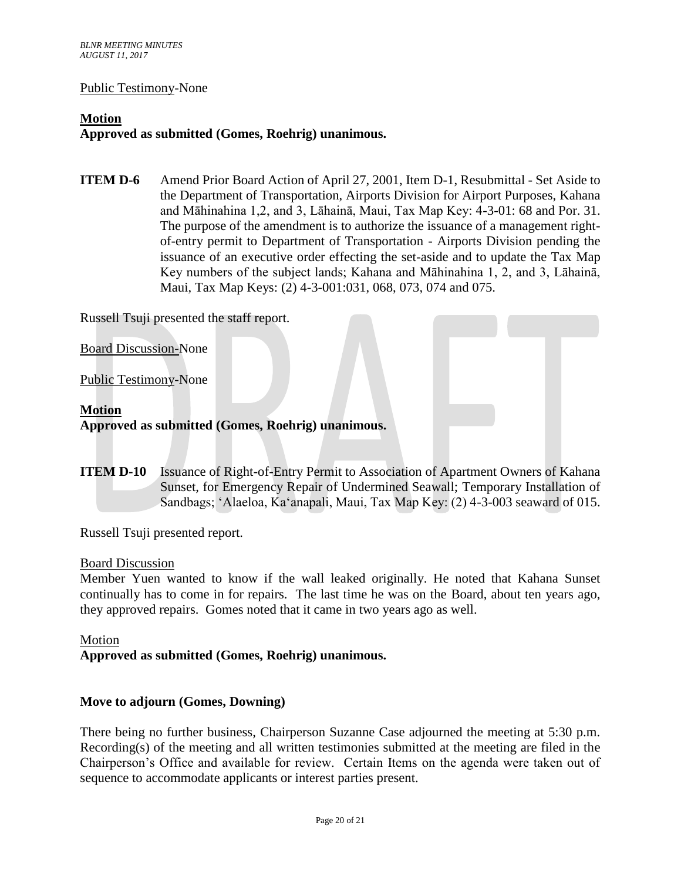#### Public Testimony-None

## **Motion Approved as submitted (Gomes, Roehrig) unanimous.**

**ITEM D-6** Amend Prior Board Action of April 27, 2001, Item D-1, Resubmittal - Set Aside to the Department of Transportation, Airports Division for Airport Purposes, Kahana and Māhinahina 1,2, and 3, Lāhainā, Maui, Tax Map Key: 4-3-01: 68 and Por. 31. The purpose of the amendment is to authorize the issuance of a management rightof-entry permit to Department of Transportation - Airports Division pending the issuance of an executive order effecting the set-aside and to update the Tax Map Key numbers of the subject lands; Kahana and Māhinahina 1, 2, and 3, Lāhainā, Maui, Tax Map Keys: (2) 4-3-001:031, 068, 073, 074 and 075.

Russell Tsuji presented the staff report.

Board Discussion-None

Public Testimony-None

## **Motion**

**Approved as submitted (Gomes, Roehrig) unanimous.**

**ITEM D-10** Issuance of Right-of-Entry Permit to Association of Apartment Owners of Kahana Sunset, for Emergency Repair of Undermined Seawall; Temporary Installation of Sandbags; ʻAlaeloa, Kaʻanapali, Maui, Tax Map Key: (2) 4-3-003 seaward of 015.

Russell Tsuji presented report.

#### Board Discussion

Member Yuen wanted to know if the wall leaked originally. He noted that Kahana Sunset continually has to come in for repairs. The last time he was on the Board, about ten years ago, they approved repairs. Gomes noted that it came in two years ago as well.

Motion

**Approved as submitted (Gomes, Roehrig) unanimous.** 

## **Move to adjourn (Gomes, Downing)**

There being no further business, Chairperson Suzanne Case adjourned the meeting at 5:30 p.m. Recording(s) of the meeting and all written testimonies submitted at the meeting are filed in the Chairperson's Office and available for review. Certain Items on the agenda were taken out of sequence to accommodate applicants or interest parties present.